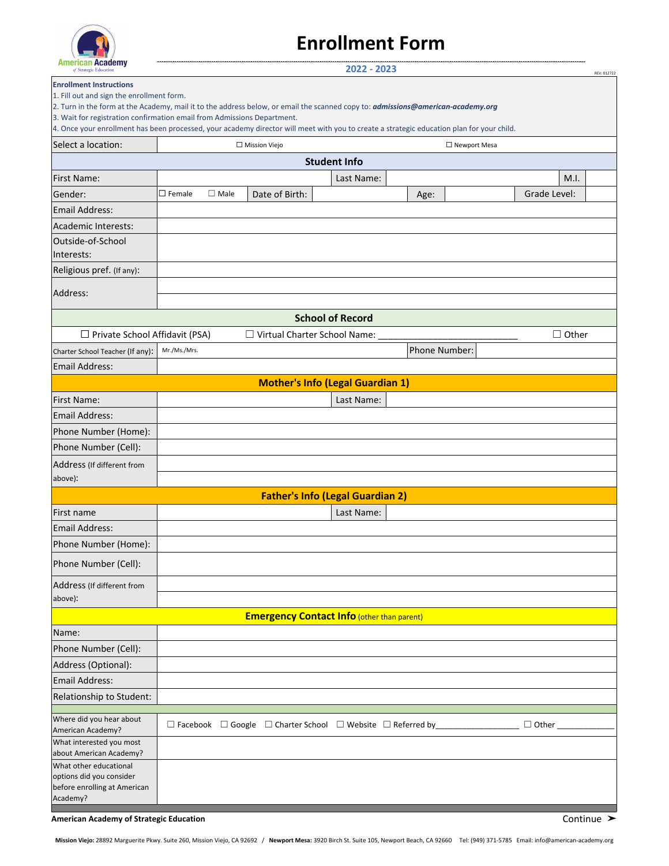

# **Enrollment Form**

| AMIGHUAN <b>AUGUGIN</b><br>of Strategic Education                                                                                                                                                                     |                  |             |                                     | 2022 - 2023                                                                               |                |              | REV: 012722 |
|-----------------------------------------------------------------------------------------------------------------------------------------------------------------------------------------------------------------------|------------------|-------------|-------------------------------------|-------------------------------------------------------------------------------------------|----------------|--------------|-------------|
| <b>Enrollment Instructions</b><br>1. Fill out and sign the enrollment form.<br>2. Turn in the form at the Academy, mail it to the address below, or email the scanned copy to: <i>admissions@american-academy.org</i> |                  |             |                                     |                                                                                           |                |              |             |
| 3. Wait for registration confirmation email from Admissions Department.<br>4. Once your enrollment has been processed, your academy director will meet with you to create a strategic education plan for your child.  |                  |             |                                     |                                                                                           |                |              |             |
| Select a location:                                                                                                                                                                                                    |                  |             | $\Box$ Mission Viejo                |                                                                                           | □ Newport Mesa |              |             |
|                                                                                                                                                                                                                       |                  |             |                                     | <b>Student Info</b>                                                                       |                |              |             |
| First Name:                                                                                                                                                                                                           |                  |             |                                     | Last Name:                                                                                |                | M.I.         |             |
| Gender:                                                                                                                                                                                                               | $\square$ Female | $\Box$ Male | Date of Birth:                      |                                                                                           | Age:           | Grade Level: |             |
| <b>Email Address:</b>                                                                                                                                                                                                 |                  |             |                                     |                                                                                           |                |              |             |
| Academic Interests:                                                                                                                                                                                                   |                  |             |                                     |                                                                                           |                |              |             |
| Outside-of-School                                                                                                                                                                                                     |                  |             |                                     |                                                                                           |                |              |             |
| Interests:                                                                                                                                                                                                            |                  |             |                                     |                                                                                           |                |              |             |
| Religious pref. (If any):                                                                                                                                                                                             |                  |             |                                     |                                                                                           |                |              |             |
| Address:                                                                                                                                                                                                              |                  |             |                                     |                                                                                           |                |              |             |
|                                                                                                                                                                                                                       |                  |             |                                     |                                                                                           |                |              |             |
|                                                                                                                                                                                                                       |                  |             |                                     | <b>School of Record</b>                                                                   |                |              |             |
| $\Box$ Private School Affidavit (PSA)                                                                                                                                                                                 | Mr./Ms./Mrs.     |             | $\Box$ Virtual Charter School Name: |                                                                                           |                | $\Box$ Other |             |
| Charter School Teacher (If any):                                                                                                                                                                                      |                  |             |                                     |                                                                                           | Phone Number:  |              |             |
| Email Address:                                                                                                                                                                                                        |                  |             |                                     | <b>Mother's Info (Legal Guardian 1)</b>                                                   |                |              |             |
| <b>First Name:</b>                                                                                                                                                                                                    |                  |             |                                     | Last Name:                                                                                |                |              |             |
| <b>Email Address:</b>                                                                                                                                                                                                 |                  |             |                                     |                                                                                           |                |              |             |
| Phone Number (Home):                                                                                                                                                                                                  |                  |             |                                     |                                                                                           |                |              |             |
| Phone Number (Cell):                                                                                                                                                                                                  |                  |             |                                     |                                                                                           |                |              |             |
| Address (If different from                                                                                                                                                                                            |                  |             |                                     |                                                                                           |                |              |             |
| above):                                                                                                                                                                                                               |                  |             |                                     |                                                                                           |                |              |             |
|                                                                                                                                                                                                                       |                  |             |                                     | <b>Father's Info (Legal Guardian 2)</b>                                                   |                |              |             |
| First name                                                                                                                                                                                                            |                  |             |                                     | Last Name:                                                                                |                |              |             |
| <b>Email Address:</b>                                                                                                                                                                                                 |                  |             |                                     |                                                                                           |                |              |             |
| Phone Number (Home):                                                                                                                                                                                                  |                  |             |                                     |                                                                                           |                |              |             |
| Phone Number (Cell):                                                                                                                                                                                                  |                  |             |                                     |                                                                                           |                |              |             |
| Address (If different from<br>above):                                                                                                                                                                                 |                  |             |                                     |                                                                                           |                |              |             |
|                                                                                                                                                                                                                       |                  |             |                                     | <b>Emergency Contact Info (other than parent)</b>                                         |                |              |             |
| Name:                                                                                                                                                                                                                 |                  |             |                                     |                                                                                           |                |              |             |
| Phone Number (Cell):                                                                                                                                                                                                  |                  |             |                                     |                                                                                           |                |              |             |
| Address (Optional):                                                                                                                                                                                                   |                  |             |                                     |                                                                                           |                |              |             |
| <b>Email Address:</b>                                                                                                                                                                                                 |                  |             |                                     |                                                                                           |                |              |             |
| Relationship to Student:                                                                                                                                                                                              |                  |             |                                     |                                                                                           |                |              |             |
| Where did you hear about                                                                                                                                                                                              |                  |             |                                     |                                                                                           |                |              |             |
| American Academy?                                                                                                                                                                                                     |                  |             |                                     | $\Box$ Facebook $\Box$ Google $\Box$ Charter School $\Box$ Website $\Box$ Referred by ___ |                | $\Box$ Other |             |
| What interested you most<br>about American Academy?                                                                                                                                                                   |                  |             |                                     |                                                                                           |                |              |             |
| What other educational                                                                                                                                                                                                |                  |             |                                     |                                                                                           |                |              |             |
| options did you consider<br>before enrolling at American                                                                                                                                                              |                  |             |                                     |                                                                                           |                |              |             |
| Academy?                                                                                                                                                                                                              |                  |             |                                     |                                                                                           |                |              |             |

**American Academy of Strategic Education** Continue **≻ Continue ≻ Continue**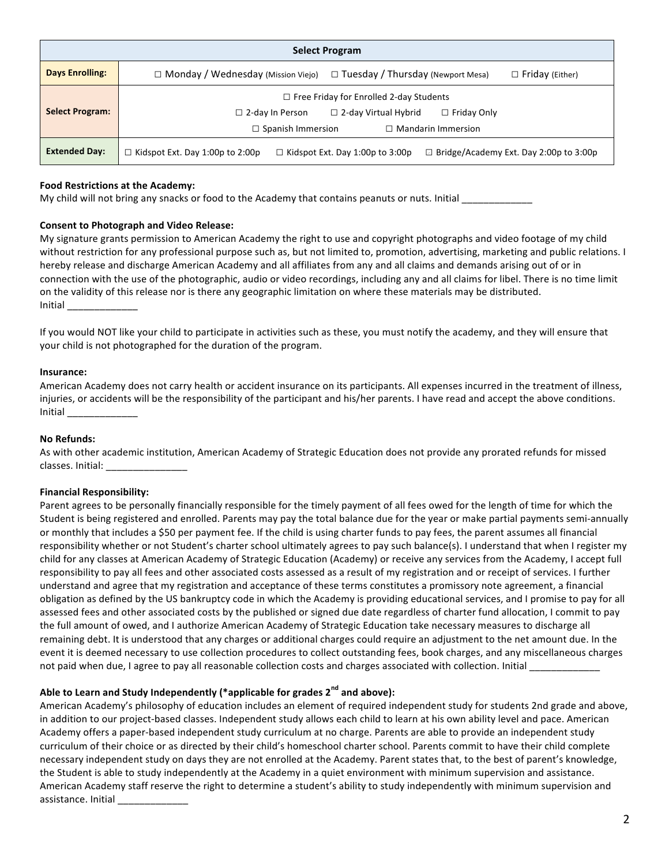|                        | <b>Select Program</b>                                                                                                                |
|------------------------|--------------------------------------------------------------------------------------------------------------------------------------|
| <b>Days Enrolling:</b> | $\Box$ Monday / Wednesday (Mission Viejo)<br>$\Box$ Tuesday / Thursday (Newport Mesa)<br>$\Box$ Friday (Either)                      |
| <b>Select Program:</b> | $\Box$ Free Friday for Enrolled 2-day Students                                                                                       |
|                        | $\Box$ Friday Only<br>$\Box$ 2-day Virtual Hybrid<br>$\Box$ 2-day In Person<br>$\Box$ Spanish Immersion<br>$\Box$ Mandarin Immersion |
| <b>Extended Day:</b>   | $\Box$ Bridge/Academy Ext. Day 2:00p to 3:00p<br>$\Box$ Kidspot Ext. Day 1:00p to 2:00p<br>$\Box$ Kidspot Ext. Day 1:00p to 3:00p    |

# **Food Restrictions at the Academy:**

My child will not bring any snacks or food to the Academy that contains peanuts or nuts. Initial

# **Consent to Photograph and Video Release:**

My signature grants permission to American Academy the right to use and copyright photographs and video footage of my child without restriction for any professional purpose such as, but not limited to, promotion, advertising, marketing and public relations. I hereby release and discharge American Academy and all affiliates from any and all claims and demands arising out of or in connection with the use of the photographic, audio or video recordings, including any and all claims for libel. There is no time limit on the validity of this release nor is there any geographic limitation on where these materials may be distributed. Initial

If you would NOT like your child to participate in activities such as these, you must notify the academy, and they will ensure that your child is not photographed for the duration of the program.

#### **Insurance:**

American Academy does not carry health or accident insurance on its participants. All expenses incurred in the treatment of illness, injuries, or accidents will be the responsibility of the participant and his/her parents. I have read and accept the above conditions. **Initial** 

#### **No Refunds:**

As with other academic institution, American Academy of Strategic Education does not provide any prorated refunds for missed classes. Initial:

#### **Financial Responsibility:**

Parent agrees to be personally financially responsible for the timely payment of all fees owed for the length of time for which the Student is being registered and enrolled. Parents may pay the total balance due for the year or make partial payments semi-annually or monthly that includes a \$50 per payment fee. If the child is using charter funds to pay fees, the parent assumes all financial responsibility whether or not Student's charter school ultimately agrees to pay such balance(s). I understand that when I register my child for any classes at American Academy of Strategic Education (Academy) or receive any services from the Academy, I accept full responsibility to pay all fees and other associated costs assessed as a result of my registration and or receipt of services. I further understand and agree that my registration and acceptance of these terms constitutes a promissory note agreement, a financial obligation as defined by the US bankruptcy code in which the Academy is providing educational services, and I promise to pay for all assessed fees and other associated costs by the published or signed due date regardless of charter fund allocation, I commit to pay the full amount of owed, and I authorize American Academy of Strategic Education take necessary measures to discharge all remaining debt. It is understood that any charges or additional charges could require an adjustment to the net amount due. In the event it is deemed necessary to use collection procedures to collect outstanding fees, book charges, and any miscellaneous charges not paid when due, I agree to pay all reasonable collection costs and charges associated with collection. Initial

# Able to Learn and Study Independently (\*applicable for grades 2<sup>nd</sup> and above):

American Academy's philosophy of education includes an element of required independent study for students 2nd grade and above, in addition to our project-based classes. Independent study allows each child to learn at his own ability level and pace. American Academy offers a paper-based independent study curriculum at no charge. Parents are able to provide an independent study curriculum of their choice or as directed by their child's homeschool charter school. Parents commit to have their child complete necessary independent study on days they are not enrolled at the Academy. Parent states that, to the best of parent's knowledge, the Student is able to study independently at the Academy in a quiet environment with minimum supervision and assistance. American Academy staff reserve the right to determine a student's ability to study independently with minimum supervision and assistance. Initial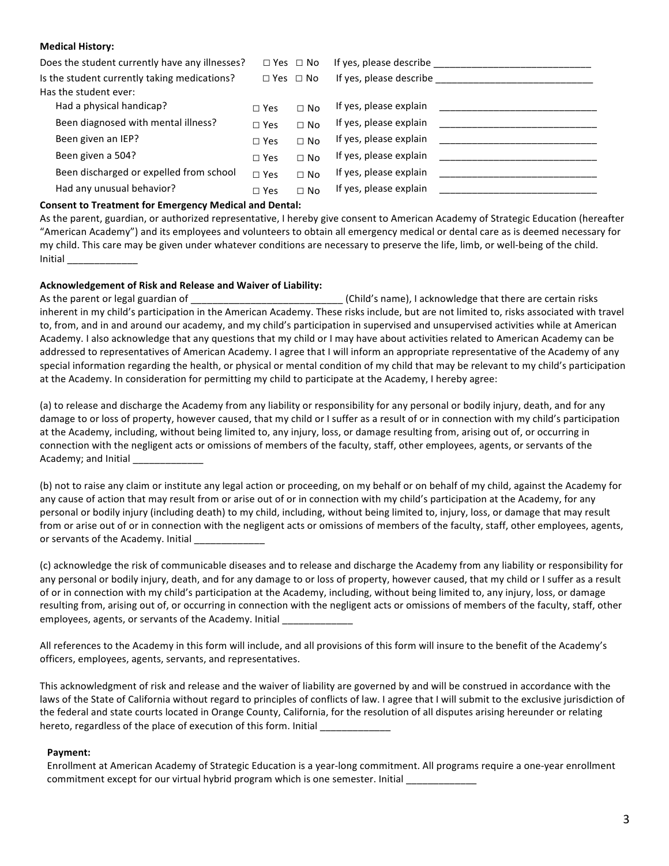# **Medical History:**

| Does the student currently have any illnesses? | $\Box$ Yes $\Box$ No |           | If yes, please describe |
|------------------------------------------------|----------------------|-----------|-------------------------|
| Is the student currently taking medications?   | $\Box$ Yes $\Box$ No |           | If yes, please describe |
| Has the student ever:                          |                      |           |                         |
| Had a physical handicap?                       | $\Box$ Yes           | $\Box$ No | If yes, please explain  |
| Been diagnosed with mental illness?            | $\Box$ Yes           | $\Box$ No | If yes, please explain  |
| Been given an IEP?                             | $\Box$ Yes           | $\Box$ No | If yes, please explain  |
| Been given a 504?                              | $\Box$ Yes           | $\Box$ No | If yes, please explain  |
| Been discharged or expelled from school        | $\Box$ Yes           | $\Box$ No | If yes, please explain  |
| Had any unusual behavior?                      | $\Box$ Yes           | $\Box$ No | If yes, please explain  |

# **Consent to Treatment for Emergency Medical and Dental:**

As the parent, guardian, or authorized representative, I hereby give consent to American Academy of Strategic Education (hereafter "American Academy") and its employees and volunteers to obtain all emergency medical or dental care as is deemed necessary for my child. This care may be given under whatever conditions are necessary to preserve the life, limb, or well-being of the child. Initial

# Acknowledgement of Risk and Release and Waiver of Liability:

As the parent or legal guardian of \_\_\_\_\_\_\_\_\_\_\_\_\_\_\_\_\_\_\_\_\_\_\_\_\_\_\_\_\_\_\_\_(Child's name), I acknowledge that there are certain risks inherent in my child's participation in the American Academy. These risks include, but are not limited to, risks associated with travel to, from, and in and around our academy, and my child's participation in supervised and unsupervised activities while at American Academy. I also acknowledge that any questions that my child or I may have about activities related to American Academy can be addressed to representatives of American Academy. I agree that I will inform an appropriate representative of the Academy of any special information regarding the health, or physical or mental condition of my child that may be relevant to my child's participation at the Academy. In consideration for permitting my child to participate at the Academy, I hereby agree:

(a) to release and discharge the Academy from any liability or responsibility for any personal or bodily injury, death, and for any damage to or loss of property, however caused, that my child or I suffer as a result of or in connection with my child's participation at the Academy, including, without being limited to, any injury, loss, or damage resulting from, arising out of, or occurring in connection with the negligent acts or omissions of members of the faculty, staff, other employees, agents, or servants of the Academy; and Initial

(b) not to raise any claim or institute any legal action or proceeding, on my behalf or on behalf of my child, against the Academy for any cause of action that may result from or arise out of or in connection with my child's participation at the Academy, for any personal or bodily injury (including death) to my child, including, without being limited to, injury, loss, or damage that may result from or arise out of or in connection with the negligent acts or omissions of members of the faculty, staff, other employees, agents, or servants of the Academy. Initial

(c) acknowledge the risk of communicable diseases and to release and discharge the Academy from any liability or responsibility for any personal or bodily injury, death, and for any damage to or loss of property, however caused, that my child or I suffer as a result of or in connection with my child's participation at the Academy, including, without being limited to, any injury, loss, or damage resulting from, arising out of, or occurring in connection with the negligent acts or omissions of members of the faculty, staff, other employees, agents, or servants of the Academy. Initial \_\_\_\_\_\_\_

All references to the Academy in this form will include, and all provisions of this form will insure to the benefit of the Academy's officers, employees, agents, servants, and representatives.

This acknowledgment of risk and release and the waiver of liability are governed by and will be construed in accordance with the laws of the State of California without regard to principles of conflicts of law. I agree that I will submit to the exclusive jurisdiction of the federal and state courts located in Orange County, California, for the resolution of all disputes arising hereunder or relating hereto, regardless of the place of execution of this form. Initial

#### Payment:

Enrollment at American Academy of Strategic Education is a year-long commitment. All programs require a one-year enrollment commitment except for our virtual hybrid program which is one semester. Initial \_\_\_\_\_\_